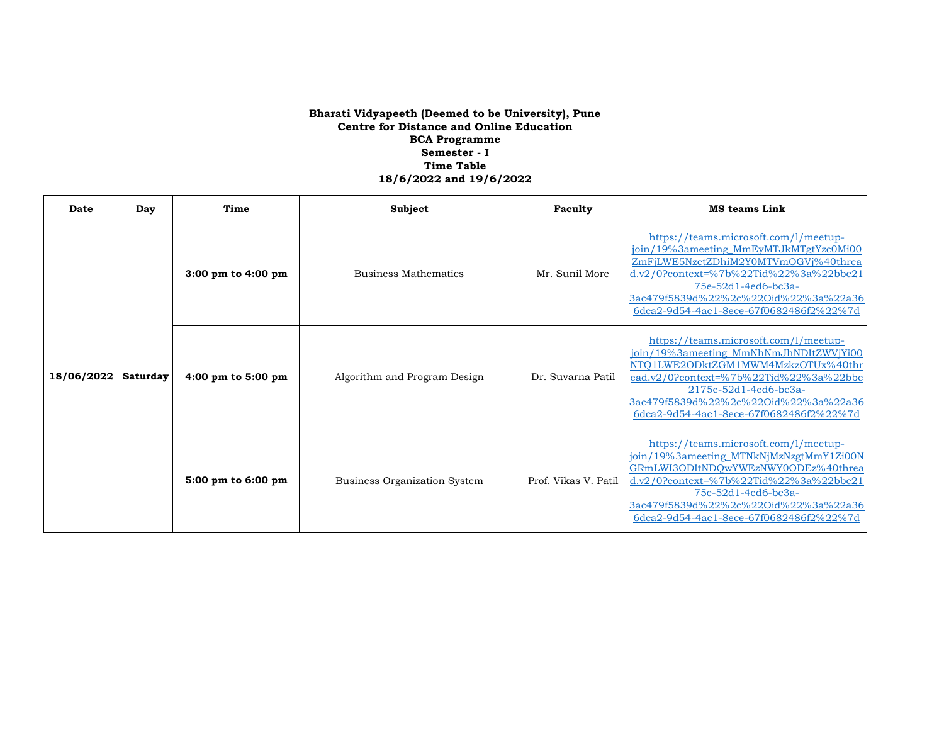| Date       | Day      | Time               | Subject                             | Faculty              | <b>MS</b> teams Link                                                                                                                                                                                                                                                           |
|------------|----------|--------------------|-------------------------------------|----------------------|--------------------------------------------------------------------------------------------------------------------------------------------------------------------------------------------------------------------------------------------------------------------------------|
| 18/06/2022 | Saturday | 3:00 pm to 4:00 pm | <b>Business Mathematics</b>         | Mr. Sunil More       | https://teams.microsoft.com/l/meetup-<br>join/19%3ameeting_MmEyMTJkMTgtYzc0Mi00<br>ZmFjLWE5NzctZDhiM2Y0MTVmOGVj%40threa<br>$d.v2/0$ ?context=%7b%22Tid%22%3a%22bbc21<br>75e-52d1-4ed6-bc3a-<br>3ac479f5839d%22%2c%22Oid%22%3a%22a36<br>6dca2-9d54-4ac1-8ece-67f0682486f2%22%7d |
|            |          | 4:00 pm to 5:00 pm | Algorithm and Program Design        | Dr. Suvarna Patil    | https://teams.microsoft.com/l/meetup-<br>join/19%3ameeting_MmNhNmJhNDItZWVjYi00<br>NTO1LWE2ODktZGM1MWM4MzkzOTUx%40thr<br>ead.v2/0?context=%7b%22Tid%22%3a%22bbc<br>2175e-52d1-4ed6-bc3a-<br>3ac479f5839d%22%2c%22Oid%22%3a%22a36<br>6dca2-9d54-4ac1-8ece-67f0682486f2%22%7d    |
|            |          | 5:00 pm to 6:00 pm | <b>Business Organization System</b> | Prof. Vikas V. Patil | https://teams.microsoft.com/l/meetup-<br>join/19%3ameeting_MTNkNjMzNzgtMmY1Zi00N<br>GRmLWI3ODItNDOwYWEzNWY0ODEz%40threa<br>d.v2/0?context=%7b%22Tid%22%3a%22bbc21<br>$75e-52d1-4ed6-bc3a-$<br>3ac479f5839d%22%2c%22Oid%22%3a%22a36<br>6dca2-9d54-4ac1-8ece-67f0682486f2%22%7d  |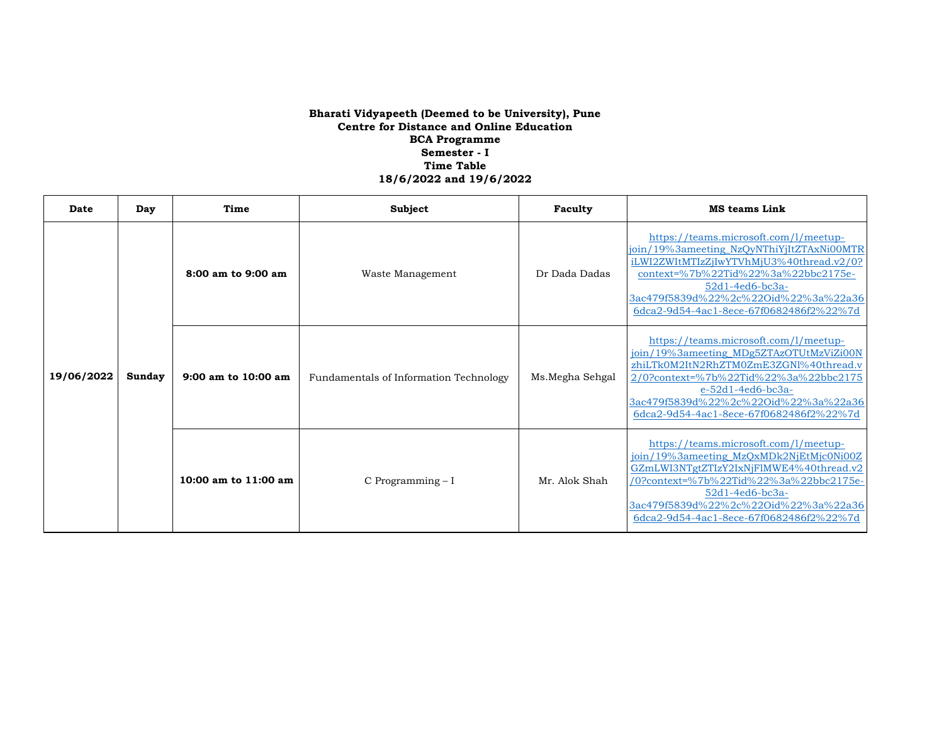| Date       | Day    | Time                     | <b>Subject</b>                         | Faculty         | <b>MS teams Link</b>                                                                                                                                                                                                                                                               |
|------------|--------|--------------------------|----------------------------------------|-----------------|------------------------------------------------------------------------------------------------------------------------------------------------------------------------------------------------------------------------------------------------------------------------------------|
| 19/06/2022 | Sunday | 8:00 am to 9:00 am       | Waste Management                       | Dr Dada Dadas   | https://teams.microsoft.com/l/meetup-<br>join/19%3ameeting_NzQyNThiYjItZTAxNi00MTR<br>iLWI2ZWItMTIzZjIwYTVhMjU3%40thread.v2/0?<br>context=%7b%22Tid%22%3a%22bbc2175e-<br>52d1-4ed6-bc3a-<br>3ac479f5839d%22%2c%22Oid%22%3a%22a36<br>6dca2-9d54-4ac1-8ece-67f0682486f2%22%7d        |
|            |        | $9:00$ am to $10:00$ am  | Fundamentals of Information Technology | Ms.Megha Sehgal | https://teams.microsoft.com/l/meetup-<br>join/19%3ameeting_MDg5ZTAzOTUtMzViZi00N<br>zhiLTk0M2ItN2RhZTM0ZmE3ZGNl%40thread.v<br>2/0?context=%7b%22Tid%22%3a%22bbc2175<br>$e-52d1-4ed6-bc3a-$<br>3ac479f5839d%22%2c%22Oid%22%3a%22a36<br>6dca2-9d54-4ac1-8ece-67f0682486f2%22%7d      |
|            |        | $10:00$ am to $11:00$ am | C Programming - I                      | Mr. Alok Shah   | https://teams.microsoft.com/l/meetup-<br>join/19%3ameeting_MzQxMDk2NjEtMjc0Ni00Z<br>GZmLWI3NTgtZTIzY2IxNjFlMWE4%40thread.v2<br>/0?context=%7b%22Tid%22%3a%22bbc2175e-<br>$52d1 - 4ed6 - bc3a -$<br>3ac479f5839d%22%2c%22Oid%22%3a%22a36<br>6dca2-9d54-4ac1-8ece-67f0682486f2%22%7d |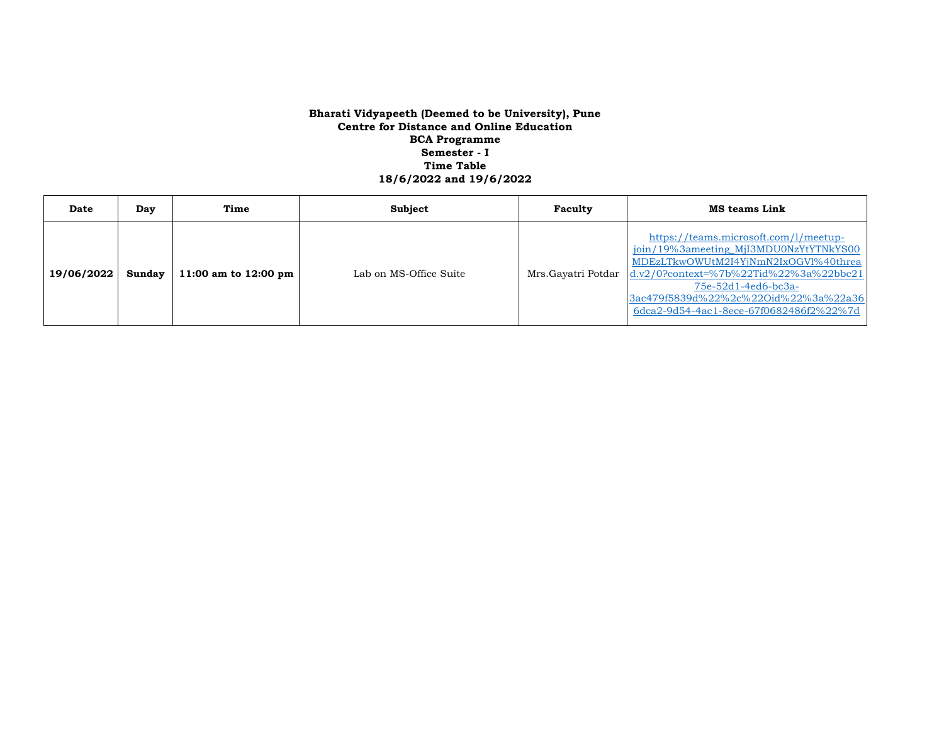| Date       | Day    | Time                           | Subject                | Faculty            | <b>MS teams Link</b>                                                                                                                                                                                                                                                           |
|------------|--------|--------------------------------|------------------------|--------------------|--------------------------------------------------------------------------------------------------------------------------------------------------------------------------------------------------------------------------------------------------------------------------------|
| 19/06/2022 | Sundav | 11:00 am to $12:00 \text{ pm}$ | Lab on MS-Office Suite | Mrs.Gayatri Potdar | https://teams.microsoft.com/l/meetup-<br>join/19%3ameeting_MjI3MDU0NzYtYTNkYS00<br>MDEzLTkwOWUtM2I4YjNmN2IxOGVl%40threa<br>$d.v2/0$ ?context=%7b%22Tid%22%3a%22bbc21<br>75e-52d1-4ed6-bc3a-<br>3ac479f5839d%22%2c%22Oid%22%3a%22a36<br>6dca2-9d54-4ac1-8ece-67f0682486f2%22%7d |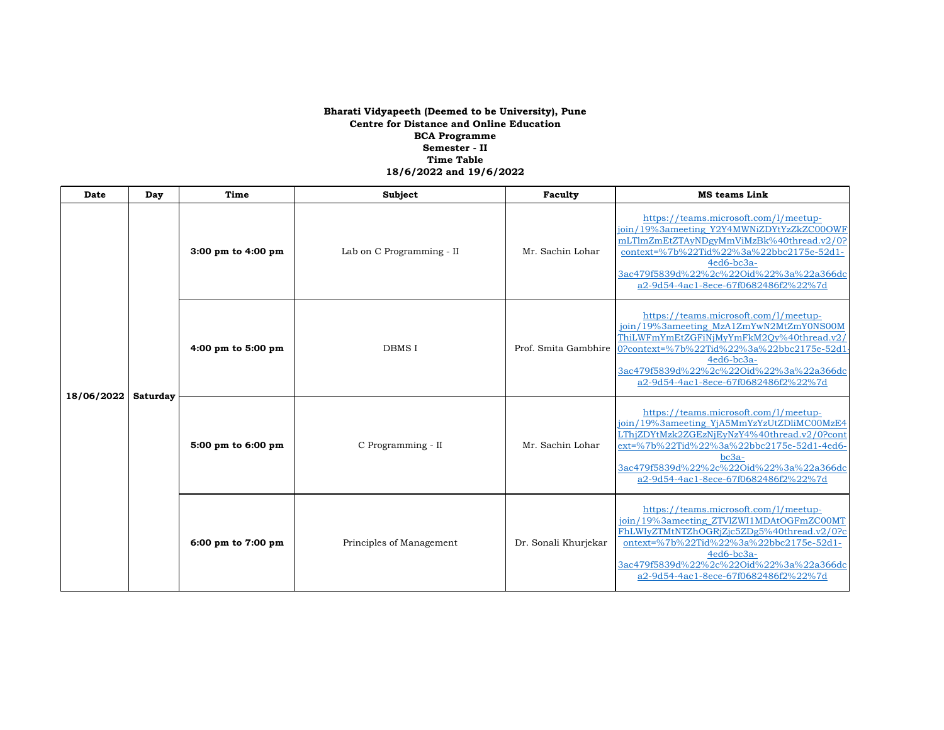| Date       | Day      | Time                   | Subject                   | Faculty              | <b>MS</b> teams Link                                                                                                                                                                                                                                                          |
|------------|----------|------------------------|---------------------------|----------------------|-------------------------------------------------------------------------------------------------------------------------------------------------------------------------------------------------------------------------------------------------------------------------------|
| 18/06/2022 | Saturday | $3:00$ pm to $4:00$ pm | Lab on C Programming - II | Mr. Sachin Lohar     | https://teams.microsoft.com/l/meetup-<br>join/19%3ameeting Y2Y4MWNiZDYtYzZkZC00OWF<br>mLTlmZmEtZTAyNDgyMmViMzBk%40thread.v2/0?<br>context=%7b%22Tid%22%3a%22bbc2175e-52d1-<br>4ed6-bc3a-<br>3ac479f5839d%22%2c%22Oid%22%3a%22a366dc<br>a2-9d54-4ac1-8ece-67f0682486f2%22%7d   |
|            |          | 4:00 pm to 5:00 pm     | <b>DBMS I</b>             | Prof. Smita Gambhire | https://teams.microsoft.com/l/meetup-<br>join/19%3ameeting_MzA1ZmYwN2MtZmY0NS00M<br>ThiLWFmYmEtZGFiNjMyYmFkM2Qy%40thread.v2/<br>0?context=%7b%22Tid%22%3a%22bbc2175e-52d1<br>4ed6-bc3a-<br>3ac479f5839d%22%2c%22Oid%22%3a%22a366dc<br>a2-9d54-4ac1-8ece-67f0682486f2%22%7d    |
|            |          | 5:00 pm to 6:00 pm     | C Programming - II        | Mr. Sachin Lohar     | https://teams.microsoft.com/l/meetup-<br>join/19%3ameeting YjA5MmYzYzUtZDliMC00MzE4<br>LThjZDYtMzk2ZGEzNjEyNzY4%40thread.v2/0?cont<br>ext=%7b%22Tid%22%3a%22bbc2175e-52d1-4ed6-<br>$bc3a-$<br>3ac479f5839d%22%2c%22Oid%22%3a%22a366dc<br>a2-9d54-4ac1-8ece-67f0682486f2%22%7d |
|            |          | 6:00 pm to 7:00 pm     | Principles of Management  | Dr. Sonali Khurjekar | https://teams.microsoft.com/l/meetup-<br>join/19%3ameeting_ZTVlZWI1MDAtOGFmZC00MT<br>FhLWIyZTMtNTZhOGRjZjc5ZDg5%40thread.v2/0?c<br>ontext=%7b%22Tid%22%3a%22bbc2175e-52d1-<br>4ed6-bc3a-<br>3ac479f5839d%22%2c%22Oid%22%3a%22a366dc<br>a2-9d54-4ac1-8ece-67f0682486f2%22%7d   |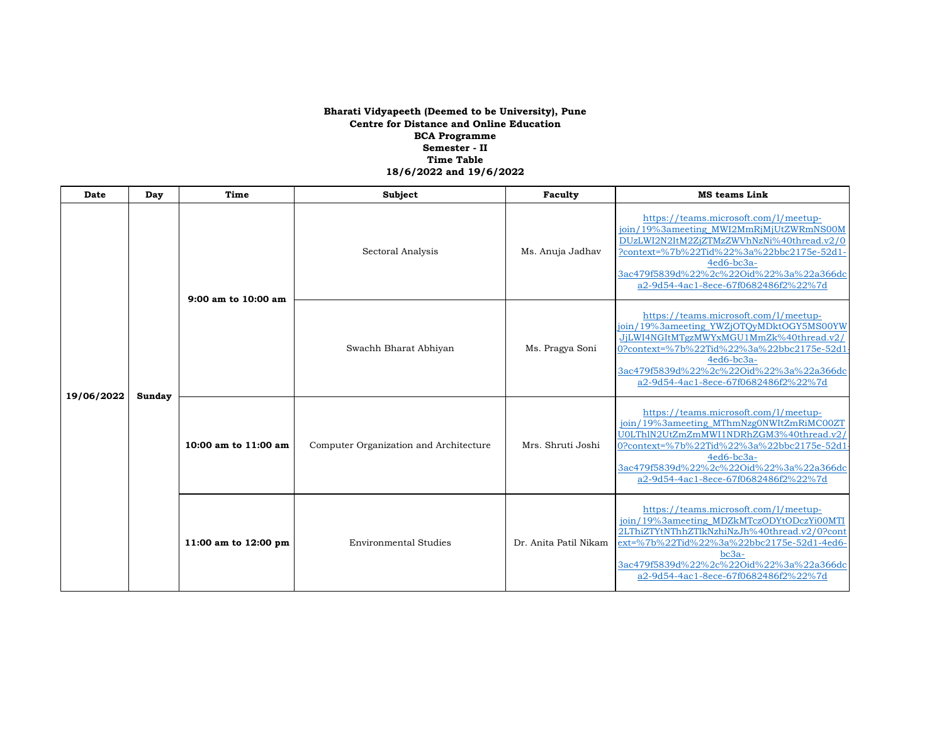| Date       | Day    | Time                                        | Subject                                | Faculty               | <b>MS</b> teams Link                                                                                                                                                                                                                                                        |
|------------|--------|---------------------------------------------|----------------------------------------|-----------------------|-----------------------------------------------------------------------------------------------------------------------------------------------------------------------------------------------------------------------------------------------------------------------------|
| 19/06/2022 | Sunday | 9:00 am to 10:00 am<br>10:00 am to 11:00 am | Sectoral Analysis                      | Ms. Anuja Jadhav      | https://teams.microsoft.com/l/meetup-<br>join/19%3ameeting_MWI2MmRjMjUtZWRmNS00M<br>DUzLWI2N2ItM2ZjZTMzZWVhNzNi%40thread.v2/0<br>?context=%7b%22Tid%22%3a%22bbc2175e-52d1<br>4ed6-bc3a-<br>3ac479f5839d%22%2c%22Oid%22%3a%22a366dc<br>a2-9d54-4ac1-8ece-67f0682486f2%22%7d  |
|            |        |                                             | Swachh Bharat Abhiyan                  | Ms. Pragya Soni       | https://teams.microsoft.com/l/meetup-<br>join/19%3ameeting_YWZjOTQyMDktOGY5MS00YW<br>JjLWI4NGItMTgzMWYxMGU1MmZk%40thread.v2/<br>0?context=%7b%22Tid%22%3a%22bbc2175e-52d1<br>4ed6-bc3a-<br>3ac479f5839d%22%2c%22Oid%22%3a%22a366dc<br>a2-9d54-4ac1-8ece-67f0682486f2%22%7d  |
|            |        |                                             | Computer Organization and Architecture | Mrs. Shruti Joshi     | https://teams.microsoft.com/l/meetup-<br>join/19%3ameeting_MThmNzg0NWItZmRiMC00ZT<br>U0LThlN2UtZmZmMWI1NDRhZGM3%40thread.v2,<br>0?context=%7b%22Tid%22%3a%22bbc2175e-52d1<br>4ed6-bc3a-<br>3ac479f5839d%22%2c%22Oid%22%3a%22a366dc<br>a2-9d54-4ac1-8ece-67f0682486f2%22%7d  |
|            |        | 11:00 am to 12:00 pm                        | <b>Environmental Studies</b>           | Dr. Anita Patil Nikam | https://teams.microsoft.com/l/meetup-<br>join/19%3ameeting_MDZkMTczODYtODczYi00MTI<br>2LThiZTYtNThhZTlkNzhiNzJh%40thread.v2/0?cont<br>ext=%7b%22Tid%22%3a%22bbc2175e-52d1-4ed6-<br>bc3a-<br>3ac479f5839d%22%2c%22Oid%22%3a%22a366dc<br>a2-9d54-4ac1-8ece-67f0682486f2%22%7d |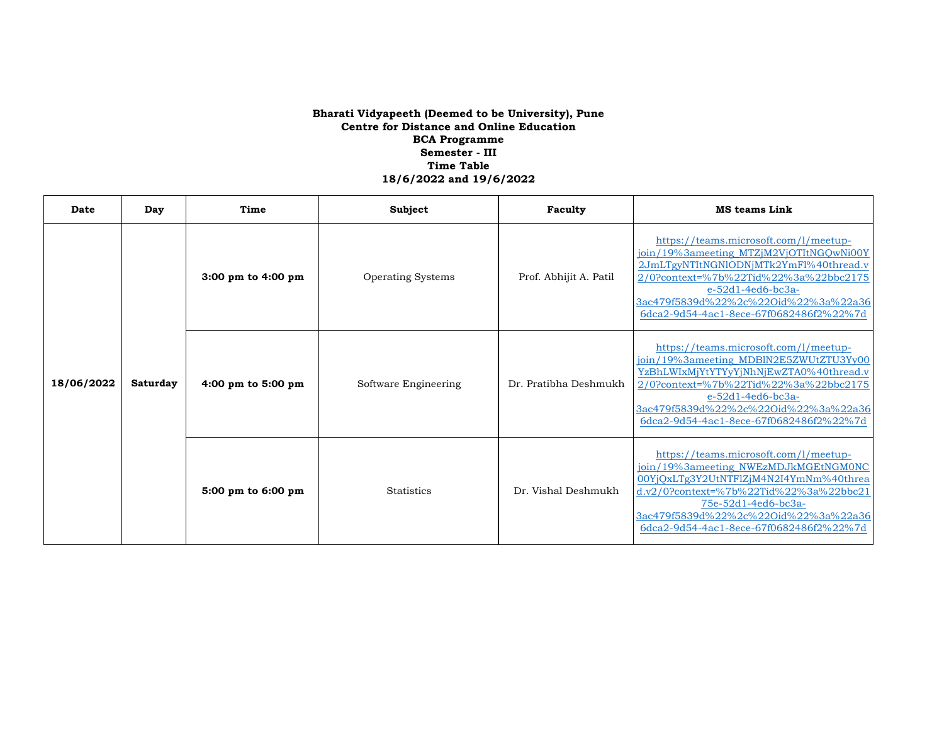| Date       | Day      | Time               | Subject              | Faculty                | <b>MS teams Link</b>                                                                                                                                                                                                                                                           |
|------------|----------|--------------------|----------------------|------------------------|--------------------------------------------------------------------------------------------------------------------------------------------------------------------------------------------------------------------------------------------------------------------------------|
| 18/06/2022 | Saturday | 3:00 pm to 4:00 pm | Operating Systems    | Prof. Abhijit A. Patil | https://teams.microsoft.com/l/meetup-<br>join/19%3ameeting_MTZjM2VjOTItNGQwNi00Y<br>2JmLTgyNTItNGNIODNjMTk2YmFl%40thread.v<br>2/0?context=%7b%22Tid%22%3a%22bbc2175<br>e-52d1-4ed6-bc3a-<br>3ac479f5839d%22%2c%22Oid%22%3a%22a36<br>6dca2-9d54-4ac1-8ece-67f0682486f2%22%7d    |
|            |          | 4:00 pm to 5:00 pm | Software Engineering | Dr. Pratibha Deshmukh  | https://teams.microsoft.com/l/meetup-<br>join/19%3ameeting MDBlN2E5ZWUtZTU3Yy00<br>YzBhLWIxMjYtYTYyYjNhNjEwZTA0%40thread.v<br>2/0?context=%7b%22Tid%22%3a%22bbc2175<br>$e-52d1-4ed6-bc3a-$<br>3ac479f5839d%22%2c%22Oid%22%3a%22a36<br>6dca2-9d54-4ac1-8ece-67f0682486f2%22%7d  |
|            |          | 5:00 pm to 6:00 pm | <b>Statistics</b>    | Dr. Vishal Deshmukh    | https://teams.microsoft.com/l/meetup-<br>join/19%3ameeting_NWEzMDJkMGEtNGM0NC<br>00YjQxLTg3Y2UtNTFlZjM4N2I4YmNm%40threa<br>$d.v2/0$ ?context=%7b%22Tid%22%3a%22bbc21<br>75e-52d1-4ed6-bc3a-<br>3ac479f5839d%22%2c%22Oid%22%3a%22a36<br>6dca2-9d54-4ac1-8ece-67f0682486f2%22%7d |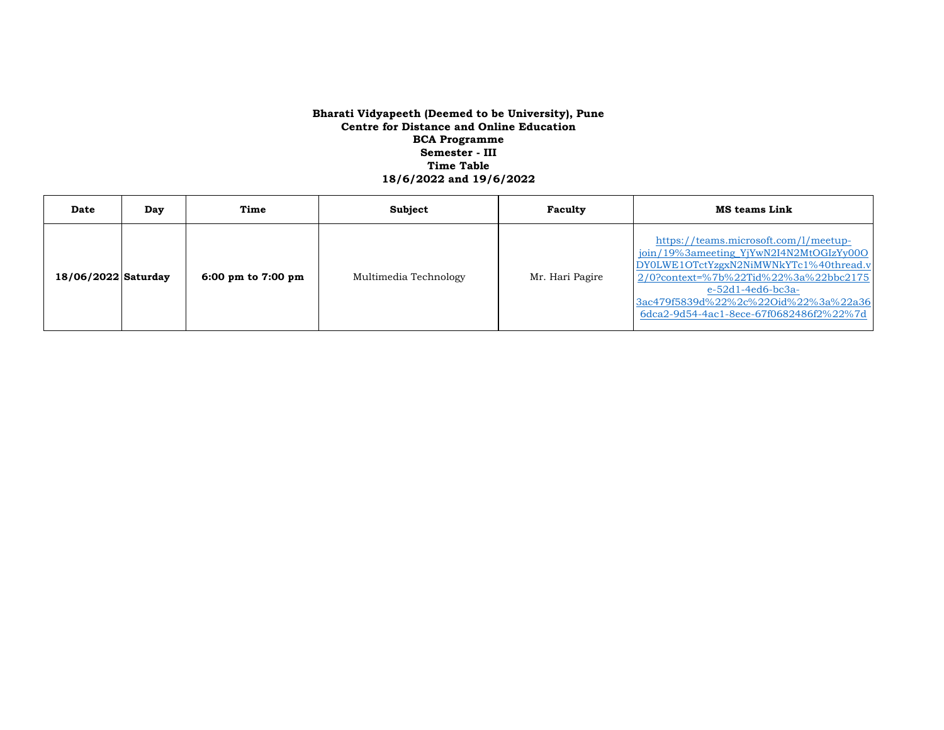| Date                | Day | Time                 | Subject               | Faculty         | <b>MS teams Link</b>                                                                                                                                                                                                                                                          |
|---------------------|-----|----------------------|-----------------------|-----------------|-------------------------------------------------------------------------------------------------------------------------------------------------------------------------------------------------------------------------------------------------------------------------------|
| 18/06/2022 Saturday |     | 6:00 pm to $7:00$ pm | Multimedia Technology | Mr. Hari Pagire | https://teams.microsoft.com/l/meetup-<br>join/19%3ameeting_YjYwN2I4N2MtOGIzYy00O<br>DY0LWE1OTctYzgxN2NiMWNkYTc1%40thread.v<br>2/0?context=%7b%22Tid%22%3a%22bbc2175<br>$e-52d1-4ed6-bc3a-$<br>3ac479f5839d%22%2c%22Oid%22%3a%22a36<br>6dca2-9d54-4ac1-8ece-67f0682486f2%22%7d |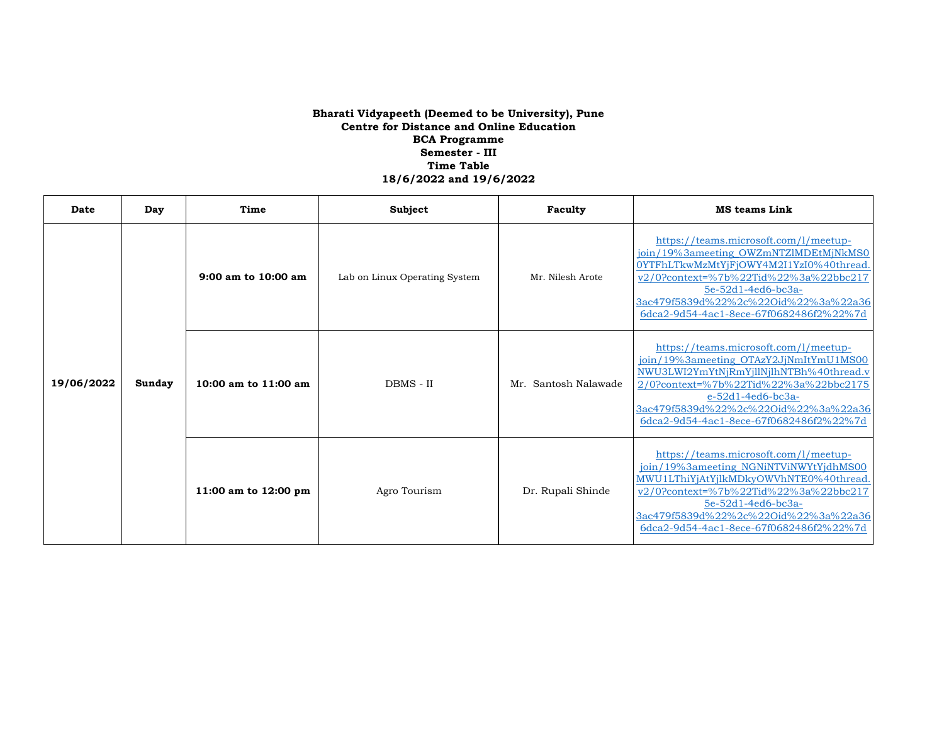| Date       | Day    | Time                 | Subject                       | Faculty                 | <b>MS teams Link</b>                                                                                                                                                                                                                                                          |
|------------|--------|----------------------|-------------------------------|-------------------------|-------------------------------------------------------------------------------------------------------------------------------------------------------------------------------------------------------------------------------------------------------------------------------|
| 19/06/2022 |        | 9:00 am to 10:00 am  | Lab on Linux Operating System | Mr. Nilesh Arote        | https://teams.microsoft.com/l/meetup-<br>join/19%3ameeting_OWZmNTZlMDEtMjNkMS0<br>0YTFhLTkwMzMtYiFiOWY4M2I1YzI0%40thread<br>v2/0?context=%7b%22Tid%22%3a%22bbc217<br>5e-52d1-4ed6-bc3a-<br>3ac479f5839d%22%2c%22Oid%22%3a%22a36<br>6dca2-9d54-4ac1-8ece-67f0682486f2%22%7d    |
|            | Sunday | 10:00 am to 11:00 am | DBMS - II                     | Santosh Nalawade<br>Mr. | https://teams.microsoft.com/l/meetup-<br>join/19%3ameeting_OTAzY2JjNmItYmU1MS00<br>NWU3LWI2YmYtNjRmYjllNjlhNTBh%40thread.v<br>2/0?context=%7b%22Tid%22%3a%22bbc2175<br>$e-52d1-4ed6-bc3a-$<br>3ac479f5839d%22%2c%22Oid%22%3a%22a36<br>6dca2-9d54-4ac1-8ece-67f0682486f2%22%7d |
|            |        | 11:00 am to 12:00 pm | Agro Tourism                  | Dr. Rupali Shinde       | https://teams.microsoft.com/l/meetup-<br>join/19%3ameeting_NGNiNTViNWYtYjdhMS00<br>MWU1LThiYjAtYjlkMDkyOWVhNTE0%40thread.<br>v2/0?context=%7b%22Tid%22%3a%22bbc217<br>5e-52d1-4ed6-bc3a-<br>3ac479f5839d%22%2c%22Oid%22%3a%22a36<br>6dca2-9d54-4ac1-8ece-67f0682486f2%22%7d   |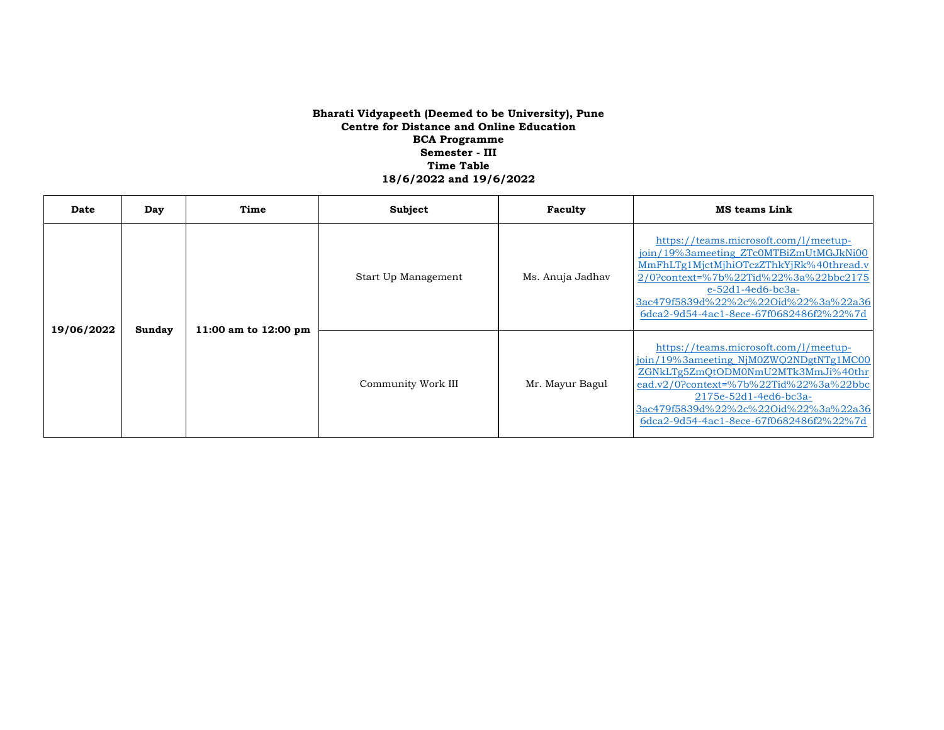| Date       | Day    | Time                 | <b>Subject</b>      | Faculty          | <b>MS teams Link</b>                                                                                                                                                                                                                                                          |
|------------|--------|----------------------|---------------------|------------------|-------------------------------------------------------------------------------------------------------------------------------------------------------------------------------------------------------------------------------------------------------------------------------|
| 19/06/2022 | Sunday | 11:00 am to 12:00 pm | Start Up Management | Ms. Anuja Jadhav | https://teams.microsoft.com/l/meetup-<br>join/19%3ameeting_ZTc0MTBiZmUtMGJkNi00<br>MmFhLTg1MjctMjhiOTczZThkYjRk%40thread.v<br>2/0?context=%7b%22Tid%22%3a%22bbc2175<br>$e-52d1-4ed6-bc3a-$<br>3ac479f5839d%22%2c%22Oid%22%3a%22a36<br>6dca2-9d54-4ac1-8ece-67f0682486f2%22%7d |
|            |        |                      | Community Work III  | Mr. Mayur Bagul  | https://teams.microsoft.com/l/meetup-<br>join/19%3ameeting NjM0ZWO2NDgtNTg1MC00<br>ZGNkLTg5ZmQtODM0NmU2MTk3MmJi%40thr<br>ead.v2/0?context=%7b%22Tid%22%3a%22bbc<br>2175e-52d1-4ed6-bc3a-<br>3ac479f5839d%22%2c%22Oid%22%3a%22a36<br>6dca2-9d54-4ac1-8ece-67f0682486f2%22%7d   |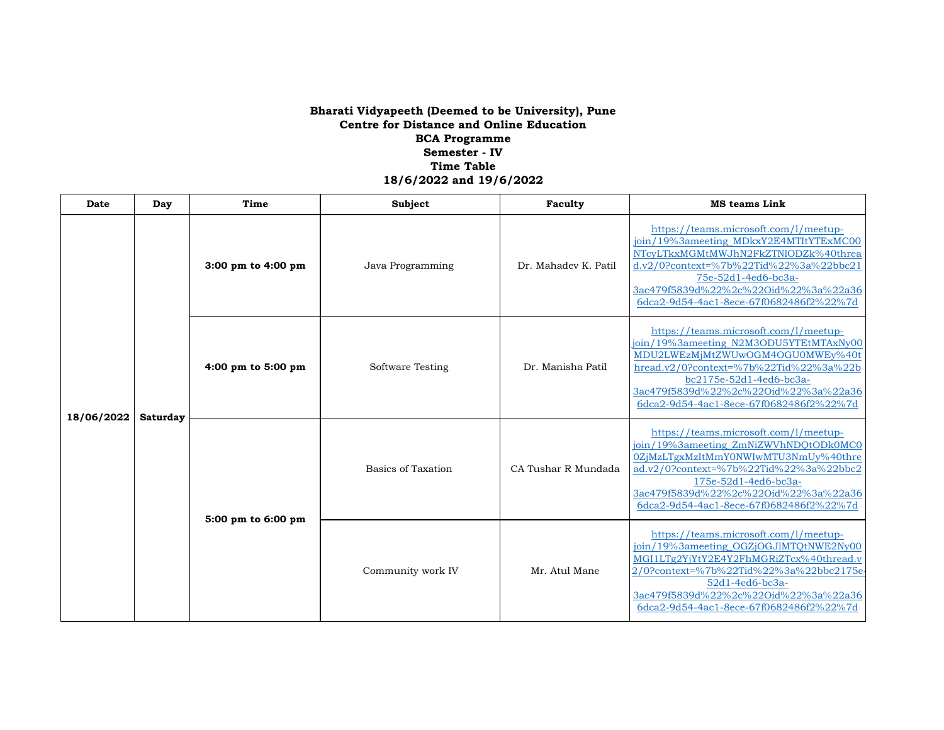| Date       | Day             | Time               | Subject                   | Faculty              | <b>MS</b> teams Link                                                                                                                                                                                                                                                        |
|------------|-----------------|--------------------|---------------------------|----------------------|-----------------------------------------------------------------------------------------------------------------------------------------------------------------------------------------------------------------------------------------------------------------------------|
| 18/06/2022 | <b>Saturday</b> | 3:00 pm to 4:00 pm | Java Programming          | Dr. Mahadev K. Patil | https://teams.microsoft.com/l/meetup-<br>join/19%3ameeting_MDkxY2E4MTItYTExMC00<br>NTcyLTkxMGMtMWJhN2FkZTNlODZk%40threa<br>d.v2/0?context=%7b%22Tid%22%3a%22bbc21<br>75e-52d1-4ed6-bc3a-<br>3ac479f5839d%22%2c%22Oid%22%3a%22a36<br>6dca2-9d54-4ac1-8ece-67f0682486f2%22%7d |
|            |                 | 4:00 pm to 5:00 pm | Software Testing          | Dr. Manisha Patil    | https://teams.microsoft.com/l/meetup-<br>join/19%3ameeting_N2M3ODU5YTEtMTAxNy00<br>MDU2LWEzMjMtZWUwOGM4OGU0MWEy%40t<br>hread.v2/0?context=%7b%22Tid%22%3a%22b<br>bc2175e-52d1-4ed6-bc3a-<br>3ac479f5839d%22%2c%22Oid%22%3a%22a36<br>6dca2-9d54-4ac1-8ece-67f0682486f2%22%7d |
|            |                 | 5:00 pm to 6:00 pm | <b>Basics of Taxation</b> | CA Tushar R Mundada  | https://teams.microsoft.com/l/meetup-<br>join/19%3ameeting_ZmNiZWVhNDQtODk0MC0<br>0ZjMzLTgxMzItMmY0NWIwMTU3NmUy%40thre<br>ad.v2/0?context=%7b%22Tid%22%3a%22bbc2<br>175e-52d1-4ed6-bc3a-<br>3ac479f5839d%22%2c%22Oid%22%3a%22a36<br>6dca2-9d54-4ac1-8ece-67f0682486f2%22%7d |
|            |                 |                    | Community work IV         | Mr. Atul Mane        | https://teams.microsoft.com/l/meetup-<br>join/19%3ameeting_OGZjOGJlMTQtNWE2Ny00<br>MGI1LTg2YiYtY2E4Y2FhMGRiZTcx%40thread.v<br>2/0?context=%7b%22Tid%22%3a%22bbc2175e<br>52d1-4ed6-bc3a-<br>3ac479f5839d%22%2c%22Oid%22%3a%22a36<br>6dca2-9d54-4ac1-8ece-67f0682486f2%22%7d  |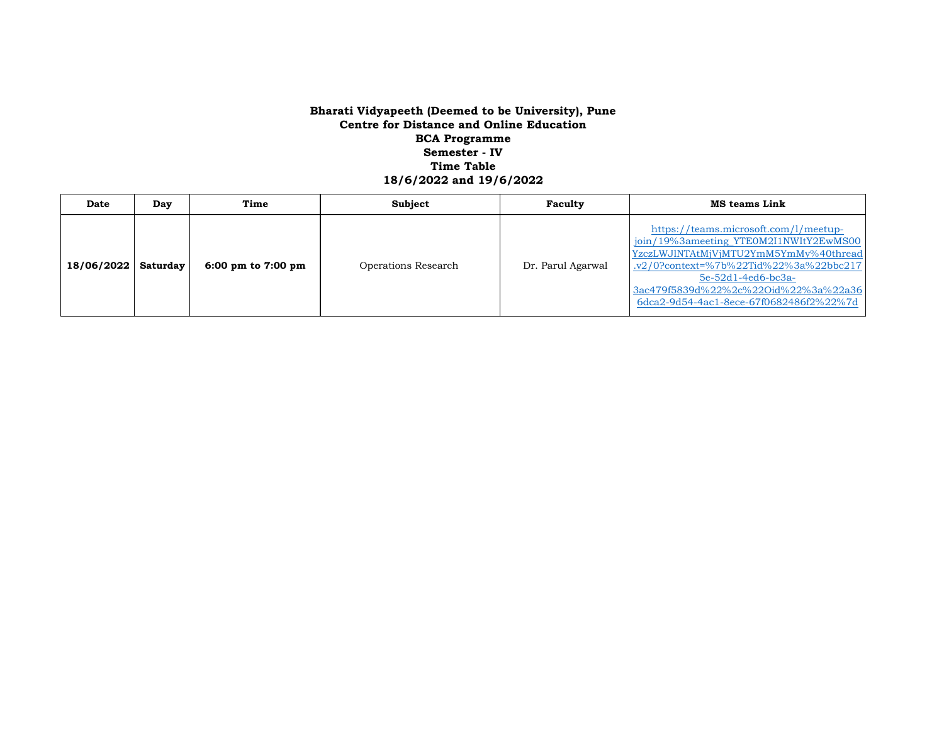| Date                  | Day | Time                 | <b>Subject</b>      | Faculty           | <b>MS teams Link</b>                                                                                                                                                                                                                                                          |
|-----------------------|-----|----------------------|---------------------|-------------------|-------------------------------------------------------------------------------------------------------------------------------------------------------------------------------------------------------------------------------------------------------------------------------|
| 18/06/2022   Saturday |     | 6:00 pm to $7:00$ pm | Operations Research | Dr. Parul Agarwal | https://teams.microsoft.com/l/meetup-<br>join/19%3ameeting_YTEOM2I1NWItY2EwMS00<br>YzczLWJlNTAtMjVjMTU2YmM5YmMy%40thread<br>.v2/0?context=%7b%22Tid%22%3a%22bbc217<br>$5e-52d1-4ed6-bc3a-$<br>3ac479f5839d%22%2c%22Oid%22%3a%22a36<br>6dca2-9d54-4ac1-8ece-67f0682486f2%22%7d |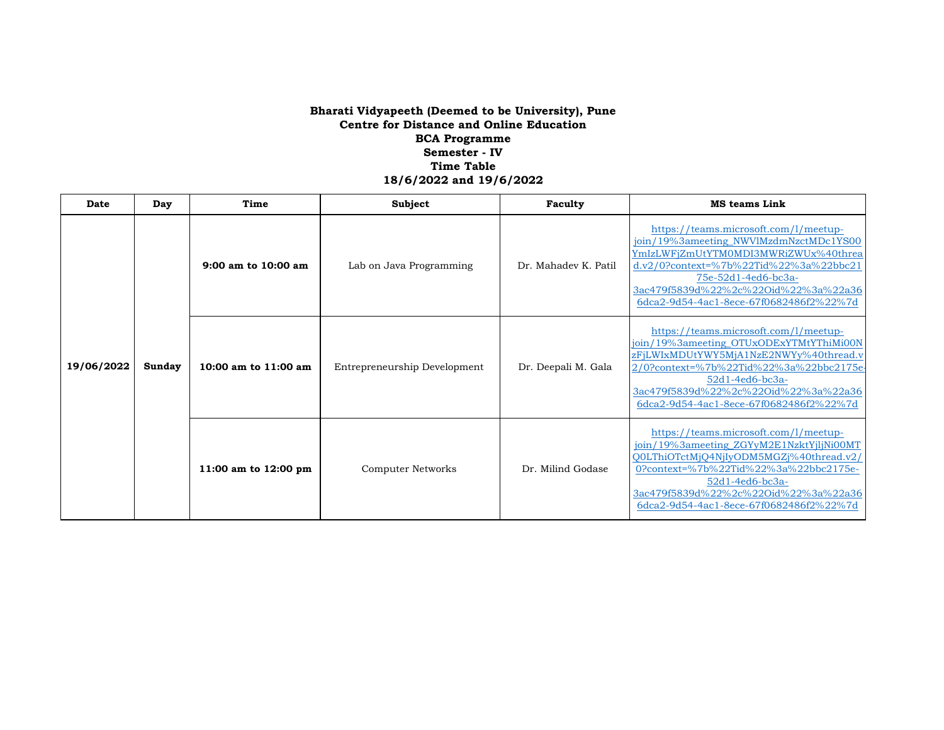| Date       | Day    | Time                   | Subject                      | Faculty              | <b>MS teams Link</b>                                                                                                                                                                                                                                                              |
|------------|--------|------------------------|------------------------------|----------------------|-----------------------------------------------------------------------------------------------------------------------------------------------------------------------------------------------------------------------------------------------------------------------------------|
| 19/06/2022 | Sunday | 9:00 am to 10:00 am    | Lab on Java Programming      | Dr. Mahadev K. Patil | https://teams.microsoft.com/l/meetup-<br>join/19%3ameeting_NWVlMzdmNzctMDc1YS00<br>YmIzLWFiZmUtYTM0MDI3MWRiZWUx%40threa<br>d.v2/0?context=%7b%22Tid%22%3a%22bbc21<br>75e-52d1-4ed6-bc3a-<br>3ac479f5839d%22%2c%22Oid%22%3a%22a36<br>6dca2-9d54-4ac1-8ece-67f0682486f2%22%7d       |
|            |        | 10:00 am to $11:00$ am | Entrepreneurship Development | Dr. Deepali M. Gala  | https://teams.microsoft.com/l/meetup-<br>join/19%3ameeting_OTUxODExYTMtYThiMi00N<br>zFjLWIxMDUtYWY5MjA1NzE2NWYy%40thread.v<br>2/0?context=%7b%22Tid%22%3a%22bbc2175e<br>$52d1 - 4ed6 - bc3a -$<br>3ac479f5839d%22%2c%22Oid%22%3a%22a36<br>6dca2-9d54-4ac1-8ece-67f0682486f2%22%7d |
|            |        | 11:00 am to 12:00 pm   | <b>Computer Networks</b>     | Dr. Milind Godase    | https://teams.microsoft.com/l/meetup-<br>join/19%3ameeting_ZGYyM2E1NzktYjljNi00MT<br>OOLThiOTctMjO4NjIyODM5MGZj%40thread.v2<br>0?context=%7b%22Tid%22%3a%22bbc2175e-<br>$52d1 - 4ed6 - bc3a -$<br>3ac479f5839d%22%2c%22Oid%22%3a%22a36<br>6dca2-9d54-4ac1-8ece-67f0682486f2%22%7d |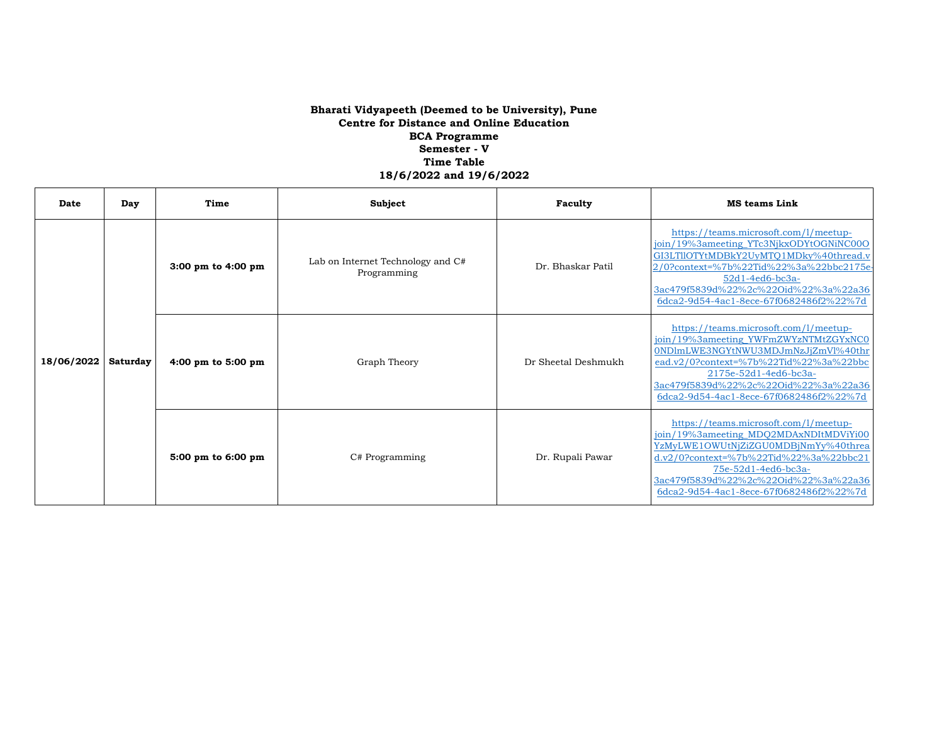| Date       | Day      | Time                                   | Subject                                          | Faculty             | <b>MS</b> teams Link                                                                                                                                                                                                                                                               |
|------------|----------|----------------------------------------|--------------------------------------------------|---------------------|------------------------------------------------------------------------------------------------------------------------------------------------------------------------------------------------------------------------------------------------------------------------------------|
| 18/06/2022 | Saturday | $3:00 \text{ pm}$ to $4:00 \text{ pm}$ | Lab on Internet Technology and C#<br>Programming | Dr. Bhaskar Patil   | https://teams.microsoft.com/l/meetup-<br>join/19%3ameeting_YTc3NjkxODYtOGNiNC00O<br>GI3LTIIOTYtMDBkY2UyMTO1MDky%40thread.v<br>2/0?context=%7b%22Tid%22%3a%22bbc2175e-<br>$52d1 - 4ed6 - bc3a -$<br>3ac479f5839d%22%2c%22Oid%22%3a%22a36<br>6dca2-9d54-4ac1-8ece-67f0682486f2%22%7d |
|            |          | 4:00 pm to 5:00 pm                     | Graph Theory                                     | Dr Sheetal Deshmukh | https://teams.microsoft.com/l/meetup-<br>join/19%3ameeting_YWFmZWYzNTMtZGYxNC0<br>0NDlmLWE3NGYtNWU3MDJmNzJiZmVl%40thr<br>ead.v2/0?context=%7b%22Tid%22%3a%22bbc<br>2175e-52d1-4ed6-bc3a-<br>3ac479f5839d%22%2c%22Oid%22%3a%22a36<br>6dca2-9d54-4ac1-8ece-67f0682486f2%22%7d        |
|            |          | 5:00 pm to 6:00 pm                     | C# Programming                                   | Dr. Rupali Pawar    | https://teams.microsoft.com/l/meetup-<br>join/19%3ameeting_MDQ2MDAxNDItMDViYi00<br>YzMyLWE1OWUtNjZiZGU0MDBjNmYy%40threa<br>d.v2/0?context=%7b%22Tid%22%3a%22bbc21<br>75e-52d1-4ed6-bc3a-<br>3ac479f5839d%22%2c%22Oid%22%3a%22a36<br>6dca2-9d54-4ac1-8ece-67f0682486f2%22%7d        |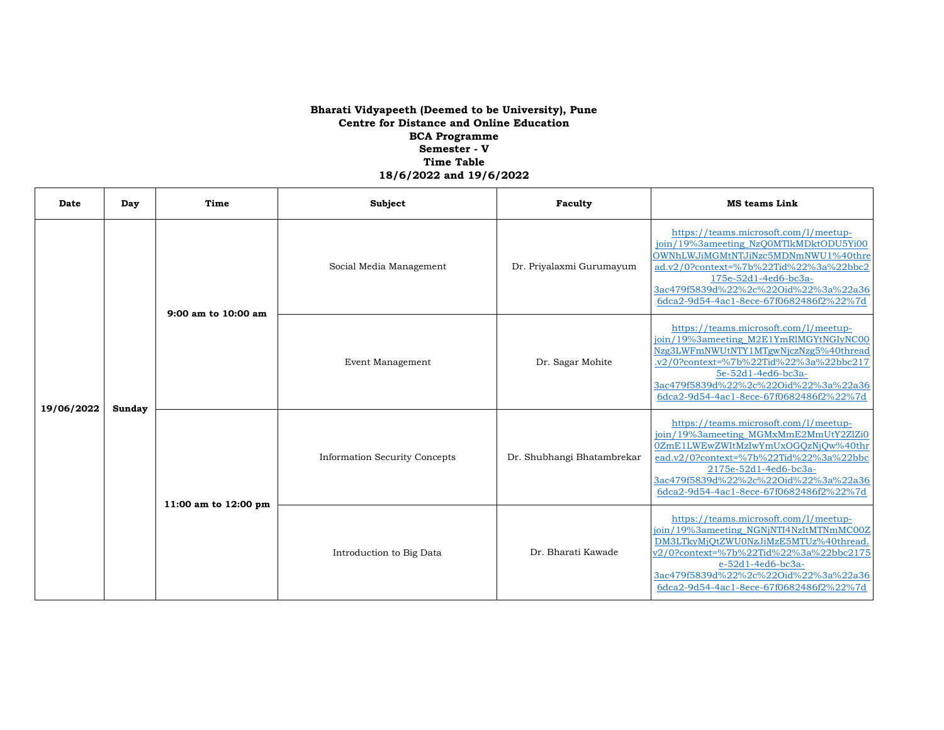| Date       | Day    | Time                    | Subject                              | Faculty                    | <b>MS</b> teams Link                                                                                                                                                                                                                                                        |
|------------|--------|-------------------------|--------------------------------------|----------------------------|-----------------------------------------------------------------------------------------------------------------------------------------------------------------------------------------------------------------------------------------------------------------------------|
| 19/06/2022 |        | $9:00$ am to $10:00$ am | Social Media Management              | Dr. Priyalaxmi Gurumayum   | https://teams.microsoft.com/l/meetup-<br>join/19%3ameeting_NzQ0MTlkMDktODU5Yi00<br>OWNhLWJiMGMtNTJiNzc5MDNmNWU1%40thre<br>ad.v2/0?context=%7b%22Tid%22%3a%22bbc2<br>175e-52d1-4ed6-bc3a-<br>3ac479f5839d%22%2c%22Oid%22%3a%22a36<br>6dca2-9d54-4ac1-8ece-67f0682486f2%22%7d |
|            | Sunday |                         | Event Management                     | Dr. Sagar Mohite           | https://teams.microsoft.com/l/meetup-<br>ioin/19%3ameeting M2E1YmRlMGYtNGIvNC00<br>Nzg3LWFmNWUtNTY1MTgwNjczNzg5%40thread<br>.v2/0?context=%7b%22Tid%22%3a%22bbc217<br>5e-52d1-4ed6-bc3a-<br>3ac479f5839d%22%2c%22Oid%22%3a%22a36<br>6dca2-9d54-4ac1-8ece-67f0682486f2%22%7d |
|            |        | 11:00 am to 12:00 pm    | <b>Information Security Concepts</b> | Dr. Shubhangi Bhatambrekar | https://teams.microsoft.com/l/meetup-<br>join/19%3ameeting_MGMxMmE2MmUtY2ZlZi0<br>0ZmE1LWEwZWItMzIwYmUxOGQzNjQw%40thr<br>ead.v2/0?context=%7b%22Tid%22%3a%22bbc<br>2175e-52d1-4ed6-bc3a-<br>3ac479f5839d%22%2c%22Oid%22%3a%22a36<br>6dca2-9d54-4ac1-8ece-67f0682486f2%22%7d |
|            |        |                         | Introduction to Big Data             | Dr. Bharati Kawade         | https://teams.microsoft.com/l/meetup-<br>join/19%3ameeting NGNjNTI4NzItMTNmMC00Z<br>DM3LTkvMiOtZWU0NzJiMzE5MTUz%40thread.<br>v2/0?context=%7b%22Tid%22%3a%22bbc2175<br>e-52d1-4ed6-bc3a-<br>3ac479f5839d%22%2c%22Oid%22%3a%22a36<br>6dca2-9d54-4ac1-8ece-67f0682486f2%22%7d |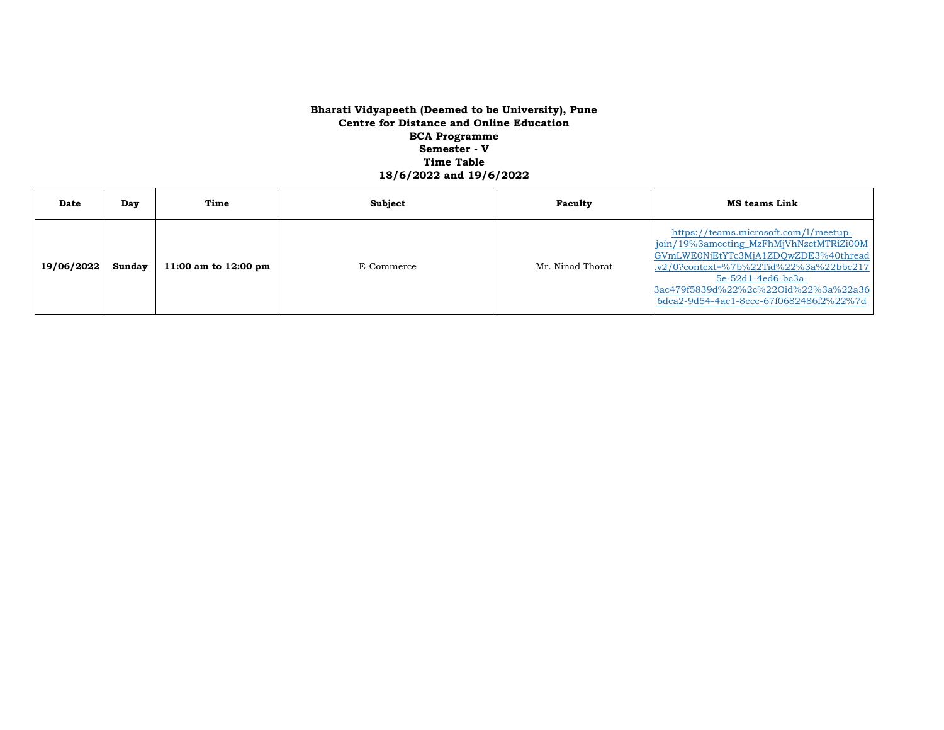| Date       | Day    | Time                           | Subject    | Faculty          | <b>MS teams Link</b>                                                                                                                                                                                                                                                          |
|------------|--------|--------------------------------|------------|------------------|-------------------------------------------------------------------------------------------------------------------------------------------------------------------------------------------------------------------------------------------------------------------------------|
| 19/06/2022 | Sundav | 11:00 am to $12:00 \text{ pm}$ | E-Commerce | Mr. Ninad Thorat | https://teams.microsoft.com/l/meetup-<br>join/19%3ameeting_MzFhMjVhNzctMTRiZi00M<br>GVmLWE0NjEtYTc3MjA1ZDQwZDE3%40thread<br>.v2/0?context=%7b%22Tid%22%3a%22bbc217<br>$5e-52d1-4ed6-bc3a-$<br>3ac479f5839d%22%2c%22Oid%22%3a%22a36<br>6dca2-9d54-4ac1-8ece-67f0682486f2%22%7d |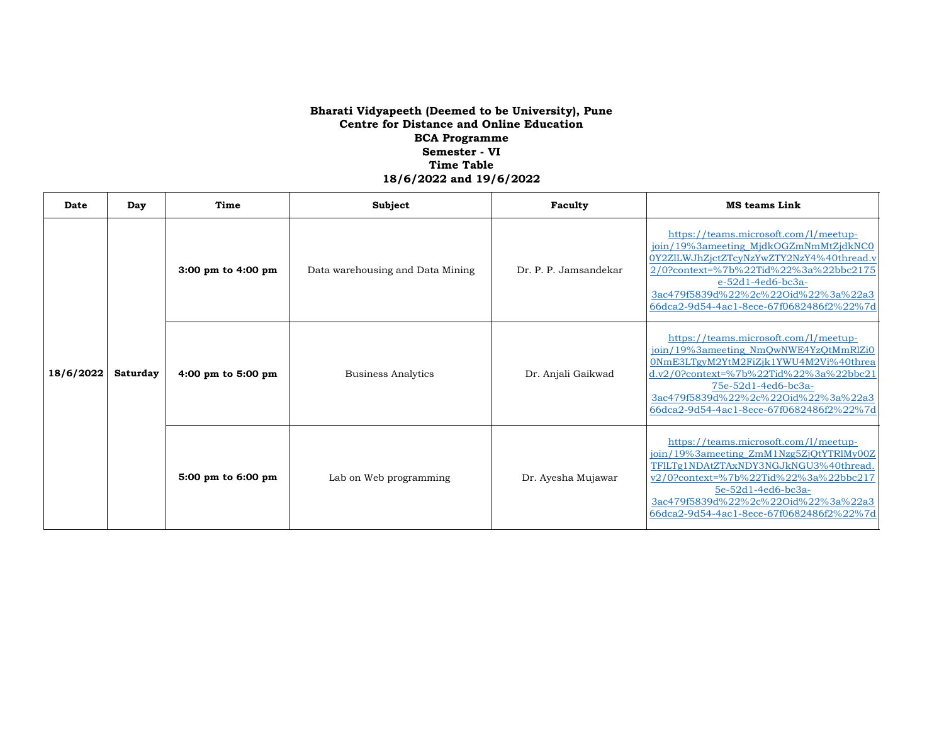| Date      | Day      | Time               | Subject                          | Faculty               | <b>MS teams Link</b>                                                                                                                                                                                                                                                           |
|-----------|----------|--------------------|----------------------------------|-----------------------|--------------------------------------------------------------------------------------------------------------------------------------------------------------------------------------------------------------------------------------------------------------------------------|
| 18/6/2022 | Saturday | 3:00 pm to 4:00 pm | Data warehousing and Data Mining | Dr. P. P. Jamsandekar | https://teams.microsoft.com/l/meetup-<br>join/19%3ameeting_MjdkOGZmNmMtZjdkNC0<br>0Y2ZlLWJhZjctZTcyNzYwZTY2NzY4%40thread.v<br>2/0?context=%7b%22Tid%22%3a%22bbc2175<br>e-52d1-4ed6-bc3a-<br>3ac479f5839d%22%2c%22Oid%22%3a%22a3<br>66dca2-9d54-4ac1-8ece-67f0682486f2%22%7d    |
|           |          | 4:00 pm to 5:00 pm | Business Analytics               | Dr. Anjali Gaikwad    | https://teams.microsoft.com/l/meetup-<br>join/19%3ameeting_NmQwNWE4YzQtMmRlZi0<br>0NmE3LTgyM2YtM2FiZjk1YWU4M2Vi%40threa<br>$d.v2/0$ ?context=%7b%22Tid%22%3a%22bbc21<br>75e-52d1-4ed6-bc3a-<br>3ac479f5839d%22%2c%22Oid%22%3a%22a3<br>66dca2-9d54-4ac1-8ece-67f0682486f2%22%7d |
|           |          | 5:00 pm to 6:00 pm | Lab on Web programming           | Dr. Ayesha Mujawar    | https://teams.microsoft.com/l/meetup-<br>join/19%3ameeting_ZmM1Nzg5ZjQtYTRlMy00Z<br>TFILTg1NDAtZTAxNDY3NGJkNGU3%40thread.<br>v2/0?context=%7b%22Tid%22%3a%22bbc217<br>5e-52d1-4ed6-bc3a-<br>3ac479f5839d%22%2c%22Oid%22%3a%22a3<br>66dca2-9d54-4ac1-8ece-67f0682486f2%22%7d    |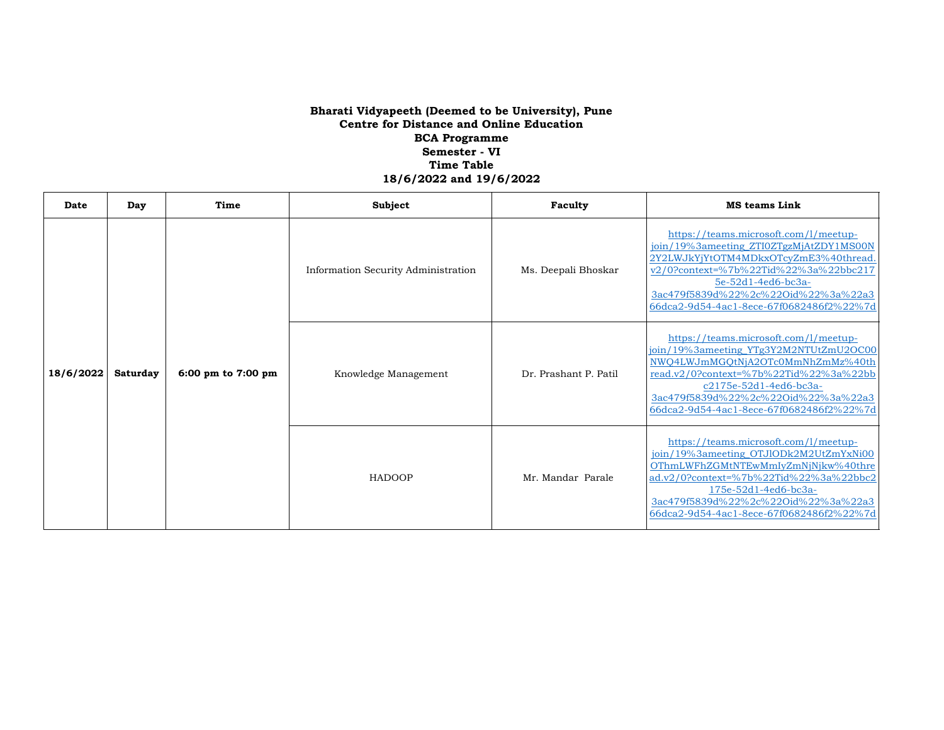| Date      | Day             | Time               | Subject                             | Faculty               | <b>MS</b> teams Link                                                                                                                                                                                                                                                        |
|-----------|-----------------|--------------------|-------------------------------------|-----------------------|-----------------------------------------------------------------------------------------------------------------------------------------------------------------------------------------------------------------------------------------------------------------------------|
| 18/6/2022 | <b>Saturday</b> | 6:00 pm to 7:00 pm | Information Security Administration | Ms. Deepali Bhoskar   | https://teams.microsoft.com/l/meetup-<br>join/19%3ameeting_ZTI0ZTgzMjAtZDY1MS00N<br>2Y2LWJkYjYtOTM4MDkxOTcvZmE3%40thread.<br>v2/0?context=%7b%22Tid%22%3a%22bbc217<br>5e-52d1-4ed6-bc3a-<br>3ac479f5839d%22%2c%22Oid%22%3a%22a3<br>66dca2-9d54-4ac1-8ece-67f0682486f2%22%7d |
|           |                 |                    | Knowledge Management                | Dr. Prashant P. Patil | https://teams.microsoft.com/l/meetup-<br>join/19%3ameeting_YTg3Y2M2NTUtZmU2OC00<br>NWQ4LWJmMGQtNjA2OTc0MmNhZmMz%40th<br>read.v2/0?context=%7b%22Tid%22%3a%22bb<br>c2175e-52d1-4ed6-bc3a-<br>3ac479f5839d%22%2c%22Oid%22%3a%22a3<br>66dca2-9d54-4ac1-8ece-67f0682486f2%22%7d |
|           |                 |                    | <b>HADOOP</b>                       | Mr. Mandar Parale     | https://teams.microsoft.com/l/meetup-<br>join/19%3ameeting_OTJlODk2M2UtZmYxNi00<br>OThmLWFhZGMtNTEwMmIyZmNjNjkw%40thre<br>ad.v2/0?context=%7b%22Tid%22%3a%22bbc2<br>175e-52d1-4ed6-bc3a-<br>3ac479f5839d%22%2c%22Oid%22%3a%22a3<br>66dca2-9d54-4ac1-8ece-67f0682486f2%22%7d |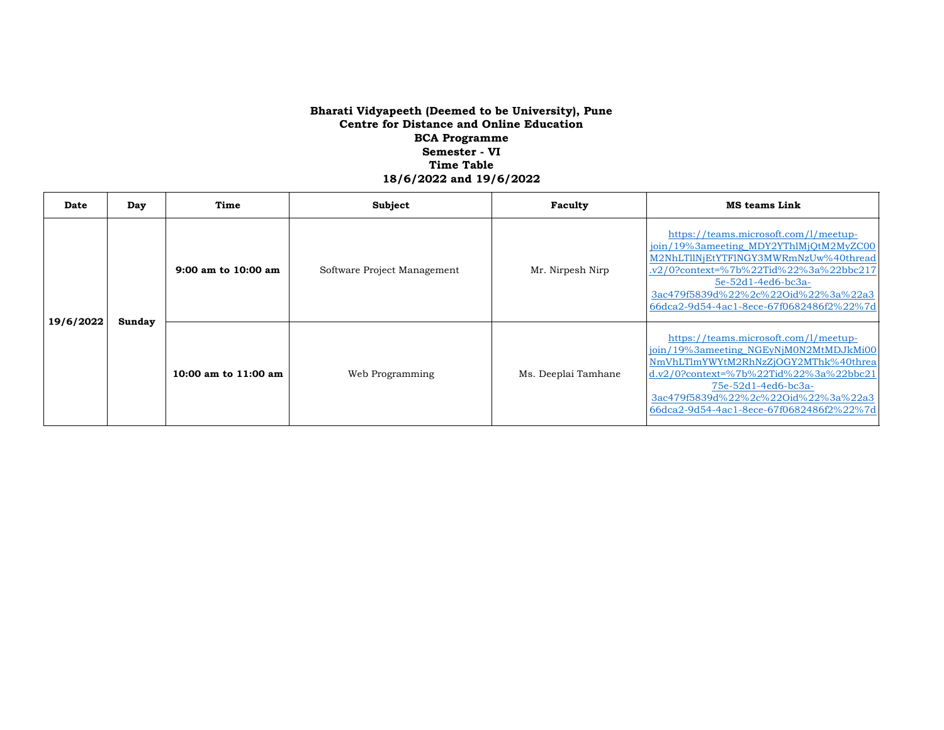| Date      | Day    | Time                    | Subject                     | Faculty             | <b>MS teams Link</b>                                                                                                                                                                                                                                                             |
|-----------|--------|-------------------------|-----------------------------|---------------------|----------------------------------------------------------------------------------------------------------------------------------------------------------------------------------------------------------------------------------------------------------------------------------|
| 19/6/2022 | Sunday | $9:00$ am to $10:00$ am | Software Project Management | Mr. Nirpesh Nirp    | https://teams.microsoft.com/l/meetup-<br>join/19%3ameeting_MDY2YThlMjQtM2MyZC00<br>M2NhLTllNjEtYTFlNGY3MWRmNzUw%40thread<br>.v2/0?context=%7b%22Tid%22%3a%22bbc217<br>$5e-52d1-4ed6-bc3a-$<br>3ac479f5839d%22%2c%22Oid%22%3a%22a3<br>66dca2-9d54-4ac1-8ece-67f0682486f2%22%7d    |
|           |        | 10:00 am to 11:00 am    | Web Programming             | Ms. Deeplai Tamhane | https://teams.microsoft.com/l/meetup-<br>join/19%3ameeting NGEyNjM0N2MtMDJkMi00<br>NmVhLTlmYWYtM2RhNzZjOGY2MThk%40threa<br>$d.v2/0$ ?context=%7b%22Tid%22%3a%22bbc21<br>$75e-52d1-4ed6-bc3a-$<br>3ac479f5839d%22%2c%22Oid%22%3a%22a3<br>66dca2-9d54-4ac1-8ece-67f0682486f2%22%7d |